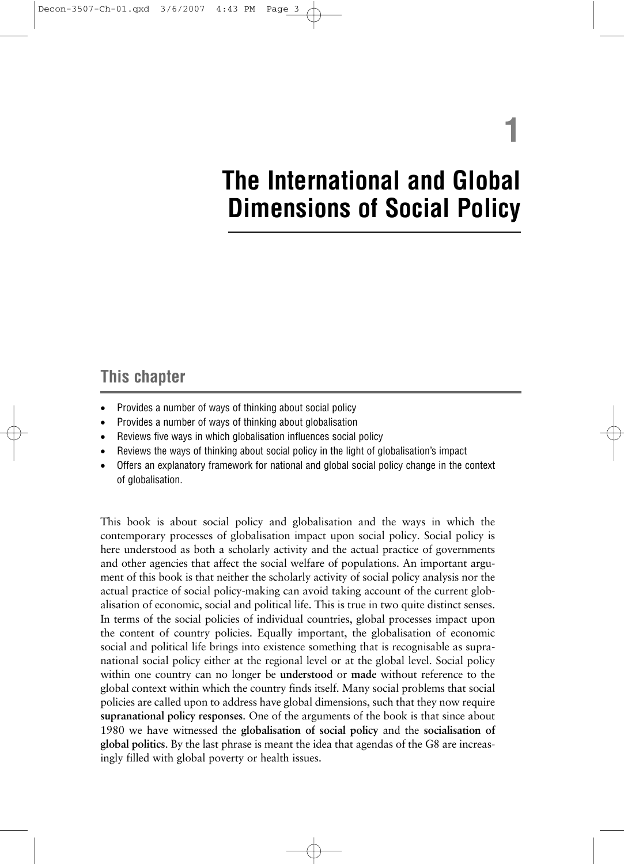# **1**

## **The International and Global Dimensions of Social Policy**

## **This chapter**

- Provides a number of ways of thinking about social policy
- Provides a number of ways of thinking about globalisation
- Reviews five ways in which globalisation influences social policy
- Reviews the ways of thinking about social policy in the light of globalisation's impact
- Offers an explanatory framework for national and global social policy change in the context of globalisation.

This book is about social policy and globalisation and the ways in which the contemporary processes of globalisation impact upon social policy. Social policy is here understood as both a scholarly activity and the actual practice of governments and other agencies that affect the social welfare of populations. An important argument of this book is that neither the scholarly activity of social policy analysis nor the actual practice of social policy-making can avoid taking account of the current globalisation of economic, social and political life. This is true in two quite distinct senses. In terms of the social policies of individual countries, global processes impact upon the content of country policies. Equally important, the globalisation of economic social and political life brings into existence something that is recognisable as supranational social policy either at the regional level or at the global level. Social policy within one country can no longer be **understood** or **made** without reference to the global context within which the country finds itself. Many social problems that social policies are called upon to address have global dimensions, such that they now require **supranational policy responses**. One of the arguments of the book is that since about 1980 we have witnessed the **globalisation of social policy** and the **socialisation of global politics**. By the last phrase is meant the idea that agendas of the G8 are increasingly filled with global poverty or health issues.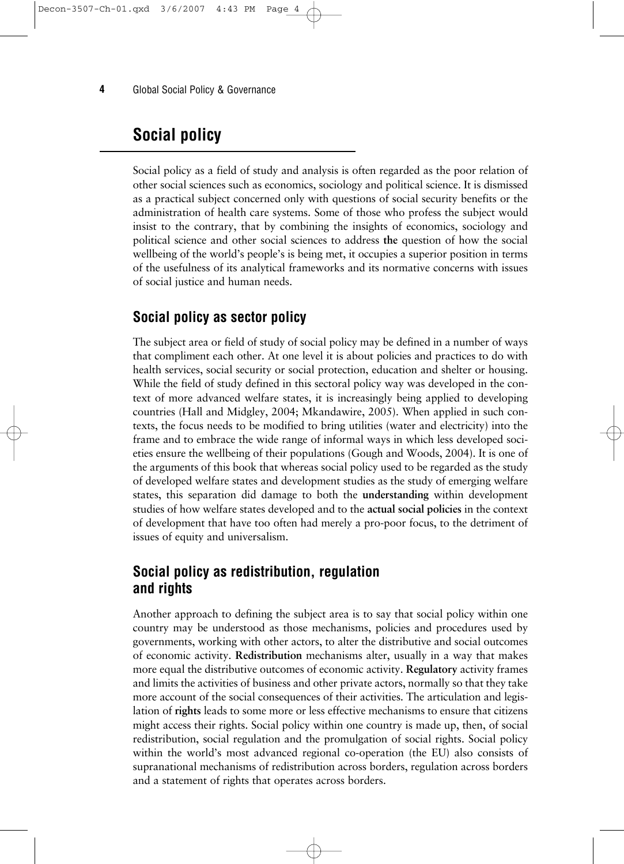Decon-3507-Ch-01.qxd 3/6/2007 4:43

**4** Global Social Policy & Governance

## **Social policy**

Social policy as a field of study and analysis is often regarded as the poor relation of other social sciences such as economics, sociology and political science. It is dismissed as a practical subject concerned only with questions of social security benefits or the administration of health care systems. Some of those who profess the subject would insist to the contrary, that by combining the insights of economics, sociology and political science and other social sciences to address **the** question of how the social wellbeing of the world's people's is being met, it occupies a superior position in terms of the usefulness of its analytical frameworks and its normative concerns with issues of social justice and human needs.

#### **Social policy as sector policy**

The subject area or field of study of social policy may be defined in a number of ways that compliment each other. At one level it is about policies and practices to do with health services, social security or social protection, education and shelter or housing. While the field of study defined in this sectoral policy way was developed in the context of more advanced welfare states, it is increasingly being applied to developing countries (Hall and Midgley, 2004; Mkandawire, 2005). When applied in such contexts, the focus needs to be modified to bring utilities (water and electricity) into the frame and to embrace the wide range of informal ways in which less developed societies ensure the wellbeing of their populations (Gough and Woods, 2004). It is one of the arguments of this book that whereas social policy used to be regarded as the study of developed welfare states and development studies as the study of emerging welfare states, this separation did damage to both the **understanding** within development studies of how welfare states developed and to the **actual social policies** in the context of development that have too often had merely a pro-poor focus, to the detriment of issues of equity and universalism.

## **Social policy as redistribution, regulation and rights**

Another approach to defining the subject area is to say that social policy within one country may be understood as those mechanisms, policies and procedures used by governments, working with other actors, to alter the distributive and social outcomes of economic activity. **Redistribution** mechanisms alter, usually in a way that makes more equal the distributive outcomes of economic activity. **Regulatory** activity frames and limits the activities of business and other private actors, normally so that they take more account of the social consequences of their activities. The articulation and legislation of **rights** leads to some more or less effective mechanisms to ensure that citizens might access their rights. Social policy within one country is made up, then, of social redistribution, social regulation and the promulgation of social rights. Social policy within the world's most advanced regional co-operation (the EU) also consists of supranational mechanisms of redistribution across borders, regulation across borders and a statement of rights that operates across borders.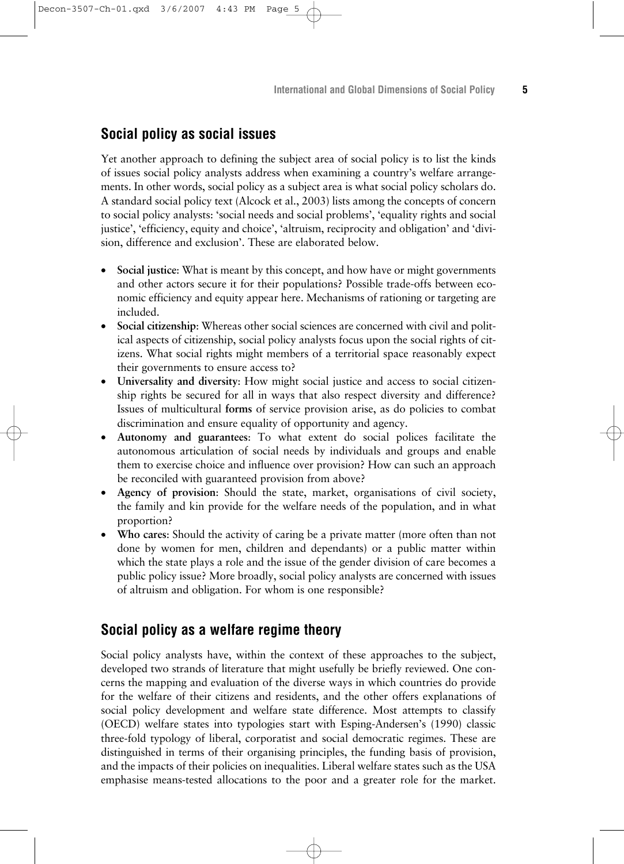#### **Social policy as social issues**

Yet another approach to defining the subject area of social policy is to list the kinds of issues social policy analysts address when examining a country's welfare arrangements. In other words, social policy as a subject area is what social policy scholars do. A standard social policy text (Alcock et al., 2003) lists among the concepts of concern to social policy analysts: 'social needs and social problems', 'equality rights and social justice', 'efficiency, equity and choice', 'altruism, reciprocity and obligation' and 'division, difference and exclusion'. These are elaborated below.

- **Social justice**: What is meant by this concept, and how have or might governments and other actors secure it for their populations? Possible trade-offs between economic efficiency and equity appear here. Mechanisms of rationing or targeting are included.
- **Social citizenship**: Whereas other social sciences are concerned with civil and political aspects of citizenship, social policy analysts focus upon the social rights of citizens. What social rights might members of a territorial space reasonably expect their governments to ensure access to?
- **Universality and diversity**: How might social justice and access to social citizenship rights be secured for all in ways that also respect diversity and difference? Issues of multicultural **forms** of service provision arise, as do policies to combat discrimination and ensure equality of opportunity and agency.
- **Autonomy and guarantees**: To what extent do social polices facilitate the autonomous articulation of social needs by individuals and groups and enable them to exercise choice and influence over provision? How can such an approach be reconciled with guaranteed provision from above?
- **Agency of provision**: Should the state, market, organisations of civil society, the family and kin provide for the welfare needs of the population, and in what proportion?
- **Who cares**: Should the activity of caring be a private matter (more often than not done by women for men, children and dependants) or a public matter within which the state plays a role and the issue of the gender division of care becomes a public policy issue? More broadly, social policy analysts are concerned with issues of altruism and obligation. For whom is one responsible?

## **Social policy as a welfare regime theory**

Social policy analysts have, within the context of these approaches to the subject, developed two strands of literature that might usefully be briefly reviewed. One concerns the mapping and evaluation of the diverse ways in which countries do provide for the welfare of their citizens and residents, and the other offers explanations of social policy development and welfare state difference. Most attempts to classify (OECD) welfare states into typologies start with Esping-Andersen's (1990) classic three-fold typology of liberal, corporatist and social democratic regimes. These are distinguished in terms of their organising principles, the funding basis of provision, and the impacts of their policies on inequalities. Liberal welfare states such as the USA emphasise means-tested allocations to the poor and a greater role for the market.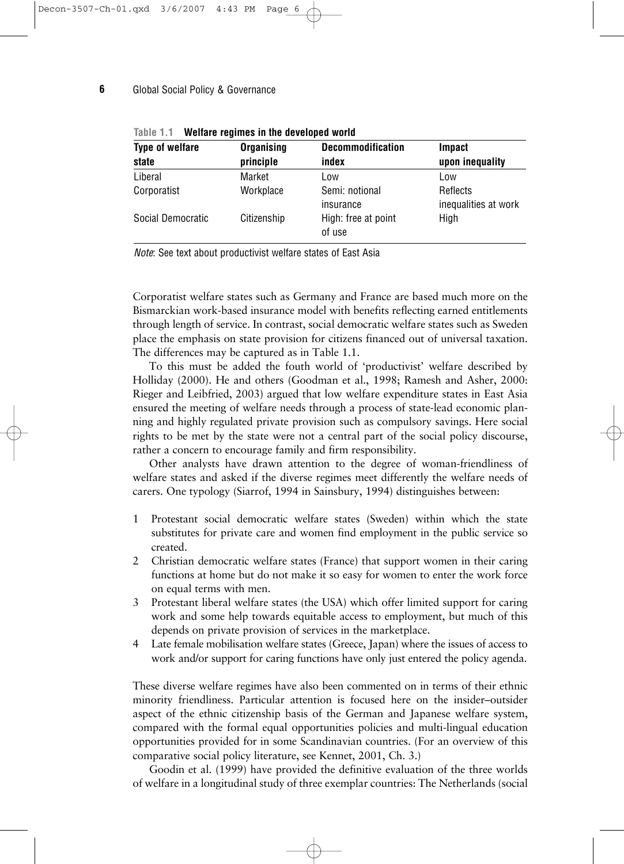| <b>Type of welfare</b> | <b>Organising</b> | <b>Decommodification</b>      | Impact                           |
|------------------------|-------------------|-------------------------------|----------------------------------|
| state                  | principle         | index                         | upon inequality                  |
| Liberal                | Market            | Low                           | Low                              |
| Corporatist            | Workplace         | Semi: notional<br>insurance   | Reflects<br>inequalities at work |
| Social Democratic      | Citizenship       | High: free at point<br>of use | High                             |

#### **Table 1.1 Welfare regimes in the developed world**

Note: See text about productivist welfare states of East Asia

Corporatist welfare states such as Germany and France are based much more on the Bismarckian work-based insurance model with benefits reflecting earned entitlements through length of service. In contrast, social democratic welfare states such as Sweden place the emphasis on state provision for citizens financed out of universal taxation. The differences may be captured as in Table 1.1.

To this must be added the fouth world of 'productivist' welfare described by Holliday (2000). He and others (Goodman et al., 1998; Ramesh and Asher, 2000: Rieger and Leibfried, 2003) argued that low welfare expenditure states in East Asia ensured the meeting of welfare needs through a process of state-lead economic planning and highly regulated private provision such as compulsory savings. Here social rights to be met by the state were not a central part of the social policy discourse, rather a concern to encourage family and firm responsibility.

Other analysts have drawn attention to the degree of woman-friendliness of welfare states and asked if the diverse regimes meet differently the welfare needs of carers. One typology (Siarrof, 1994 in Sainsbury, 1994) distinguishes between:

- 1 Protestant social democratic welfare states (Sweden) within which the state substitutes for private care and women find employment in the public service so created.
- 2 Christian democratic welfare states (France) that support women in their caring functions at home but do not make it so easy for women to enter the work force on equal terms with men.
- 3 Protestant liberal welfare states (the USA) which offer limited support for caring work and some help towards equitable access to employment, but much of this depends on private provision of services in the marketplace.
- 4 Late female mobilisation welfare states (Greece, Japan) where the issues of access to work and/or support for caring functions have only just entered the policy agenda.

These diverse welfare regimes have also been commented on in terms of their ethnic minority friendliness. Particular attention is focused here on the insider–outsider aspect of the ethnic citizenship basis of the German and Japanese welfare system, compared with the formal equal opportunities policies and multi-lingual education opportunities provided for in some Scandinavian countries. (For an overview of this comparative social policy literature, see Kennet, 2001, Ch. 3.)

Goodin et al. (1999) have provided the definitive evaluation of the three worlds of welfare in a longitudinal study of three exemplar countries: The Netherlands (social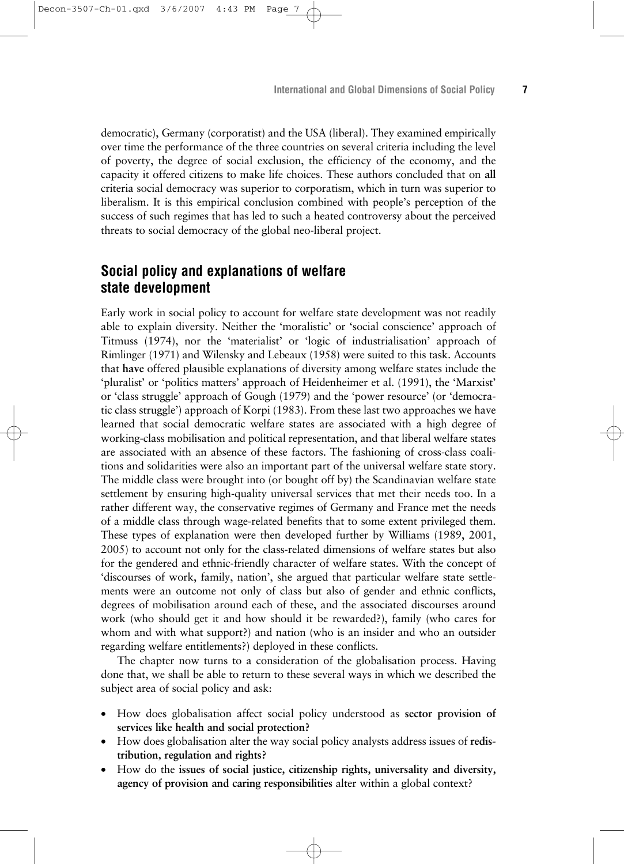democratic), Germany (corporatist) and the USA (liberal). They examined empirically over time the performance of the three countries on several criteria including the level of poverty, the degree of social exclusion, the efficiency of the economy, and the capacity it offered citizens to make life choices. These authors concluded that on **all** criteria social democracy was superior to corporatism, which in turn was superior to liberalism. It is this empirical conclusion combined with people's perception of the success of such regimes that has led to such a heated controversy about the perceived threats to social democracy of the global neo-liberal project.

## **Social policy and explanations of welfare state development**

Early work in social policy to account for welfare state development was not readily able to explain diversity. Neither the 'moralistic' or 'social conscience' approach of Titmuss (1974), nor the 'materialist' or 'logic of industrialisation' approach of Rimlinger (1971) and Wilensky and Lebeaux (1958) were suited to this task. Accounts that **have** offered plausible explanations of diversity among welfare states include the 'pluralist' or 'politics matters' approach of Heidenheimer et al. (1991), the 'Marxist' or 'class struggle' approach of Gough (1979) and the 'power resource' (or 'democratic class struggle') approach of Korpi (1983). From these last two approaches we have learned that social democratic welfare states are associated with a high degree of working-class mobilisation and political representation, and that liberal welfare states are associated with an absence of these factors. The fashioning of cross-class coalitions and solidarities were also an important part of the universal welfare state story. The middle class were brought into (or bought off by) the Scandinavian welfare state settlement by ensuring high-quality universal services that met their needs too. In a rather different way, the conservative regimes of Germany and France met the needs of a middle class through wage-related benefits that to some extent privileged them. These types of explanation were then developed further by Williams (1989, 2001, 2005) to account not only for the class-related dimensions of welfare states but also for the gendered and ethnic-friendly character of welfare states. With the concept of 'discourses of work, family, nation', she argued that particular welfare state settlements were an outcome not only of class but also of gender and ethnic conflicts, degrees of mobilisation around each of these, and the associated discourses around work (who should get it and how should it be rewarded?), family (who cares for whom and with what support?) and nation (who is an insider and who an outsider regarding welfare entitlements?) deployed in these conflicts.

The chapter now turns to a consideration of the globalisation process. Having done that, we shall be able to return to these several ways in which we described the subject area of social policy and ask:

- How does globalisation affect social policy understood as **sector provision of services like health and social protection?**
- How does globalisation alter the way social policy analysts address issues of **redistribution, regulation and rights?**
- How do the **issues of social justice, citizenship rights, universality and diversity, agency of provision and caring responsibilities** alter within a global context?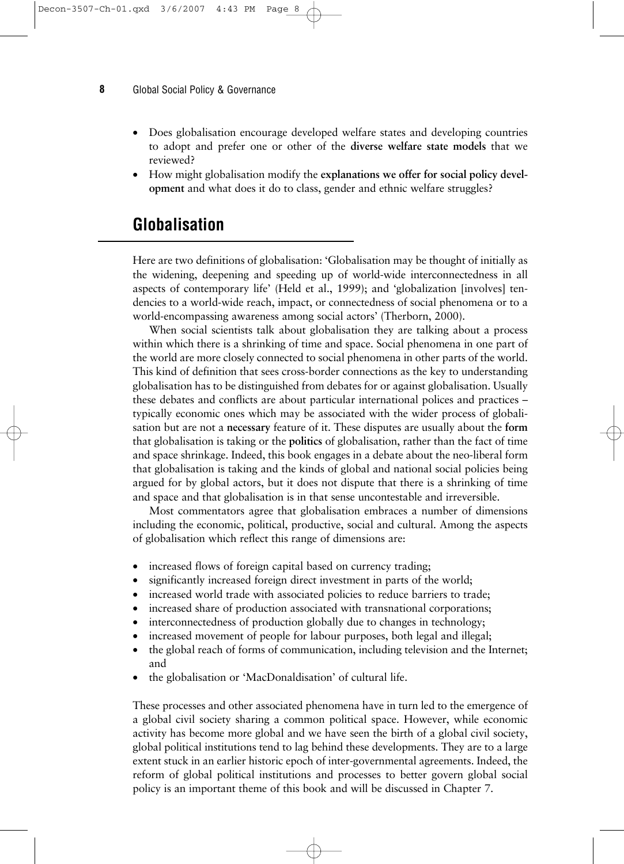- **8** Global Social Policy & Governance
	- Does globalisation encourage developed welfare states and developing countries to adopt and prefer one or other of the **diverse welfare state models** that we reviewed?
	- How might globalisation modify the **explanations we offer for social policy development** and what does it do to class, gender and ethnic welfare struggles?

## **Globalisation**

Here are two definitions of globalisation: 'Globalisation may be thought of initially as the widening, deepening and speeding up of world-wide interconnectedness in all aspects of contemporary life' (Held et al., 1999); and 'globalization [involves] tendencies to a world-wide reach, impact, or connectedness of social phenomena or to a world-encompassing awareness among social actors' (Therborn, 2000).

When social scientists talk about globalisation they are talking about a process within which there is a shrinking of time and space. Social phenomena in one part of the world are more closely connected to social phenomena in other parts of the world. This kind of definition that sees cross-border connections as the key to understanding globalisation has to be distinguished from debates for or against globalisation. Usually these debates and conflicts are about particular international polices and practices – typically economic ones which may be associated with the wider process of globalisation but are not a **necessary** feature of it. These disputes are usually about the **form** that globalisation is taking or the **politics** of globalisation, rather than the fact of time and space shrinkage. Indeed, this book engages in a debate about the neo-liberal form that globalisation is taking and the kinds of global and national social policies being argued for by global actors, but it does not dispute that there is a shrinking of time and space and that globalisation is in that sense uncontestable and irreversible.

Most commentators agree that globalisation embraces a number of dimensions including the economic, political, productive, social and cultural. Among the aspects of globalisation which reflect this range of dimensions are:

- increased flows of foreign capital based on currency trading;
- significantly increased foreign direct investment in parts of the world;
- increased world trade with associated policies to reduce barriers to trade;
- increased share of production associated with transnational corporations;
- interconnectedness of production globally due to changes in technology;
- increased movement of people for labour purposes, both legal and illegal;
- the global reach of forms of communication, including television and the Internet; and
- the globalisation or 'MacDonaldisation' of cultural life.

These processes and other associated phenomena have in turn led to the emergence of a global civil society sharing a common political space. However, while economic activity has become more global and we have seen the birth of a global civil society, global political institutions tend to lag behind these developments. They are to a large extent stuck in an earlier historic epoch of inter-governmental agreements. Indeed, the reform of global political institutions and processes to better govern global social policy is an important theme of this book and will be discussed in Chapter 7.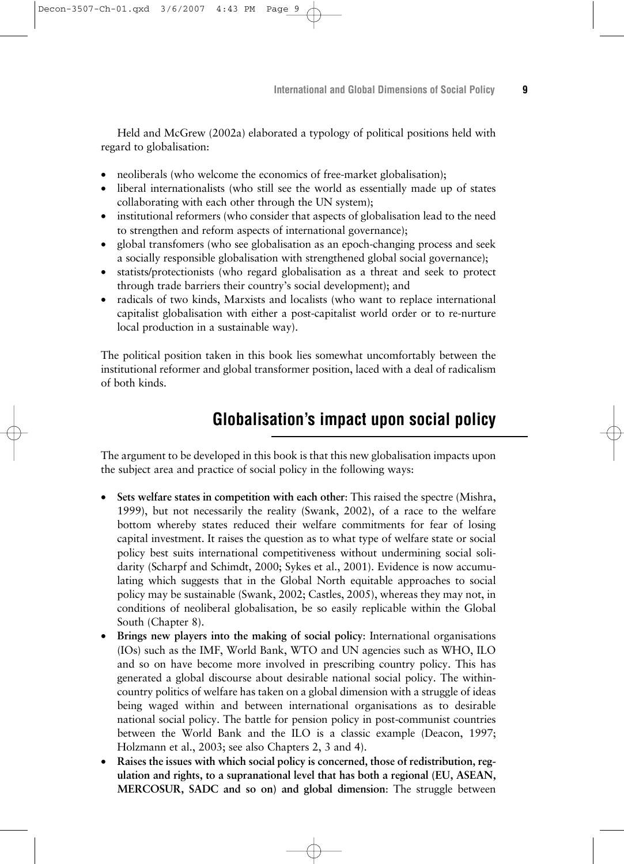Held and McGrew (2002a) elaborated a typology of political positions held with regard to globalisation:

- neoliberals (who welcome the economics of free-market globalisation);
- liberal internationalists (who still see the world as essentially made up of states collaborating with each other through the UN system);
- institutional reformers (who consider that aspects of globalisation lead to the need to strengthen and reform aspects of international governance);
- global transfomers (who see globalisation as an epoch-changing process and seek a socially responsible globalisation with strengthened global social governance);
- statists/protectionists (who regard globalisation as a threat and seek to protect through trade barriers their country's social development); and
- radicals of two kinds, Marxists and localists (who want to replace international capitalist globalisation with either a post-capitalist world order or to re-nurture local production in a sustainable way).

The political position taken in this book lies somewhat uncomfortably between the institutional reformer and global transformer position, laced with a deal of radicalism of both kinds.

## **Globalisation's impact upon social policy**

The argument to be developed in this book is that this new globalisation impacts upon the subject area and practice of social policy in the following ways:

- **Sets welfare states in competition with each other**: This raised the spectre (Mishra, 1999), but not necessarily the reality (Swank, 2002), of a race to the welfare bottom whereby states reduced their welfare commitments for fear of losing capital investment. It raises the question as to what type of welfare state or social policy best suits international competitiveness without undermining social solidarity (Scharpf and Schimdt, 2000; Sykes et al., 2001). Evidence is now accumulating which suggests that in the Global North equitable approaches to social policy may be sustainable (Swank, 2002; Castles, 2005), whereas they may not, in conditions of neoliberal globalisation, be so easily replicable within the Global South (Chapter 8).
- **Brings new players into the making of social policy**: International organisations (IOs) such as the IMF, World Bank, WTO and UN agencies such as WHO, ILO and so on have become more involved in prescribing country policy. This has generated a global discourse about desirable national social policy. The withincountry politics of welfare has taken on a global dimension with a struggle of ideas being waged within and between international organisations as to desirable national social policy. The battle for pension policy in post-communist countries between the World Bank and the ILO is a classic example (Deacon, 1997; Holzmann et al., 2003; see also Chapters 2, 3 and 4).
- **Raises the issues with which social policy is concerned, those of redistribution, regulation and rights, to a supranational level that has both a regional (EU, ASEAN, MERCOSUR, SADC and so on) and global dimension**: The struggle between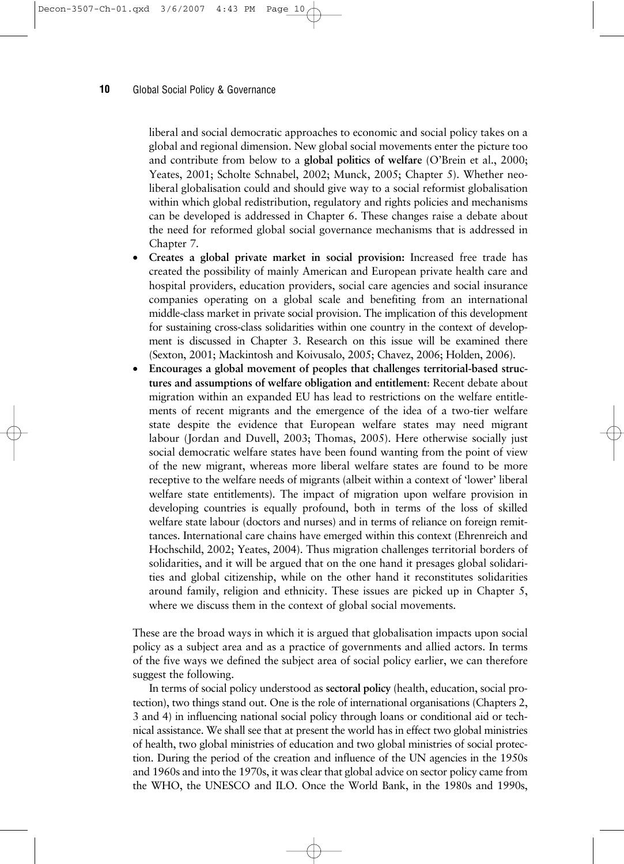liberal and social democratic approaches to economic and social policy takes on a global and regional dimension. New global social movements enter the picture too and contribute from below to a **global politics of welfare** (O'Brein et al., 2000; Yeates, 2001; Scholte Schnabel, 2002; Munck, 2005; Chapter 5). Whether neoliberal globalisation could and should give way to a social reformist globalisation within which global redistribution, regulatory and rights policies and mechanisms can be developed is addressed in Chapter 6. These changes raise a debate about the need for reformed global social governance mechanisms that is addressed in Chapter 7.

- **Creates a global private market in social provision:** Increased free trade has created the possibility of mainly American and European private health care and hospital providers, education providers, social care agencies and social insurance companies operating on a global scale and benefiting from an international middle-class market in private social provision. The implication of this development for sustaining cross-class solidarities within one country in the context of development is discussed in Chapter 3. Research on this issue will be examined there (Sexton, 2001; Mackintosh and Koivusalo, 2005; Chavez, 2006; Holden, 2006).
- **Encourages a global movement of peoples that challenges territorial-based structures and assumptions of welfare obligation and entitlement**: Recent debate about migration within an expanded EU has lead to restrictions on the welfare entitlements of recent migrants and the emergence of the idea of a two-tier welfare state despite the evidence that European welfare states may need migrant labour (Jordan and Duvell, 2003; Thomas, 2005). Here otherwise socially just social democratic welfare states have been found wanting from the point of view of the new migrant, whereas more liberal welfare states are found to be more receptive to the welfare needs of migrants (albeit within a context of 'lower' liberal welfare state entitlements). The impact of migration upon welfare provision in developing countries is equally profound, both in terms of the loss of skilled welfare state labour (doctors and nurses) and in terms of reliance on foreign remittances. International care chains have emerged within this context (Ehrenreich and Hochschild, 2002; Yeates, 2004). Thus migration challenges territorial borders of solidarities, and it will be argued that on the one hand it presages global solidarities and global citizenship, while on the other hand it reconstitutes solidarities around family, religion and ethnicity. These issues are picked up in Chapter 5, where we discuss them in the context of global social movements.

These are the broad ways in which it is argued that globalisation impacts upon social policy as a subject area and as a practice of governments and allied actors. In terms of the five ways we defined the subject area of social policy earlier, we can therefore suggest the following.

In terms of social policy understood as **sectoral policy** (health, education, social protection), two things stand out. One is the role of international organisations (Chapters 2, 3 and 4) in influencing national social policy through loans or conditional aid or technical assistance. We shall see that at present the world has in effect two global ministries of health, two global ministries of education and two global ministries of social protection. During the period of the creation and influence of the UN agencies in the 1950s and 1960s and into the 1970s, it was clear that global advice on sector policy came from the WHO, the UNESCO and ILO. Once the World Bank, in the 1980s and 1990s,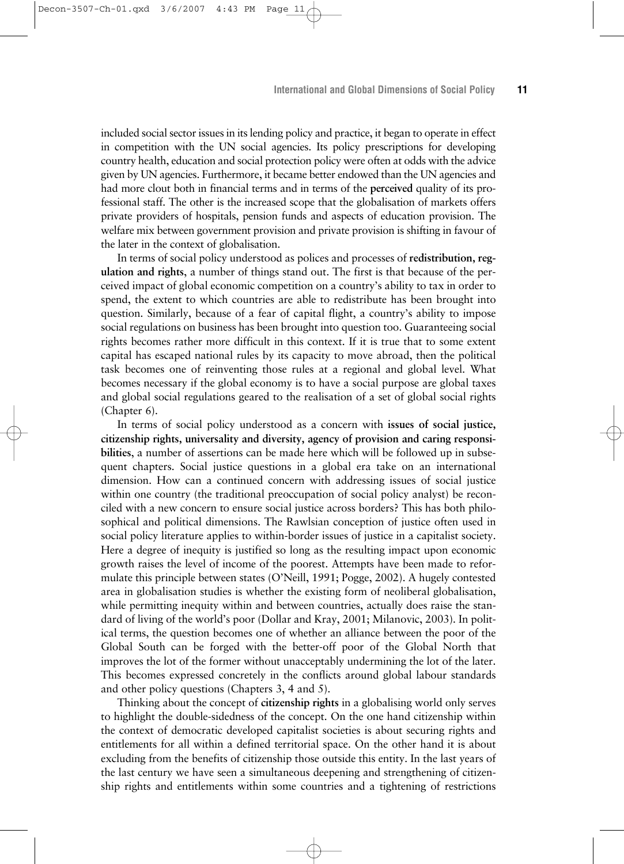included social sector issues in its lending policy and practice, it began to operate in effect in competition with the UN social agencies. Its policy prescriptions for developing country health, education and social protection policy were often at odds with the advice given by UN agencies. Furthermore, it became better endowed than the UN agencies and had more clout both in financial terms and in terms of the **perceived** quality of its professional staff. The other is the increased scope that the globalisation of markets offers private providers of hospitals, pension funds and aspects of education provision. The welfare mix between government provision and private provision is shifting in favour of the later in the context of globalisation.

In terms of social policy understood as polices and processes of **redistribution, regulation and rights**, a number of things stand out. The first is that because of the perceived impact of global economic competition on a country's ability to tax in order to spend, the extent to which countries are able to redistribute has been brought into question. Similarly, because of a fear of capital flight, a country's ability to impose social regulations on business has been brought into question too. Guaranteeing social rights becomes rather more difficult in this context. If it is true that to some extent capital has escaped national rules by its capacity to move abroad, then the political task becomes one of reinventing those rules at a regional and global level. What becomes necessary if the global economy is to have a social purpose are global taxes and global social regulations geared to the realisation of a set of global social rights (Chapter 6).

In terms of social policy understood as a concern with **issues of social justice, citizenship rights, universality and diversity, agency of provision and caring responsibilities**, a number of assertions can be made here which will be followed up in subsequent chapters. Social justice questions in a global era take on an international dimension. How can a continued concern with addressing issues of social justice within one country (the traditional preoccupation of social policy analyst) be reconciled with a new concern to ensure social justice across borders? This has both philosophical and political dimensions. The Rawlsian conception of justice often used in social policy literature applies to within-border issues of justice in a capitalist society. Here a degree of inequity is justified so long as the resulting impact upon economic growth raises the level of income of the poorest. Attempts have been made to reformulate this principle between states (O'Neill, 1991; Pogge, 2002). A hugely contested area in globalisation studies is whether the existing form of neoliberal globalisation, while permitting inequity within and between countries, actually does raise the standard of living of the world's poor (Dollar and Kray, 2001; Milanovic, 2003). In political terms, the question becomes one of whether an alliance between the poor of the Global South can be forged with the better-off poor of the Global North that improves the lot of the former without unacceptably undermining the lot of the later. This becomes expressed concretely in the conflicts around global labour standards and other policy questions (Chapters 3, 4 and 5).

Thinking about the concept of **citizenship rights** in a globalising world only serves to highlight the double-sidedness of the concept. On the one hand citizenship within the context of democratic developed capitalist societies is about securing rights and entitlements for all within a defined territorial space. On the other hand it is about excluding from the benefits of citizenship those outside this entity. In the last years of the last century we have seen a simultaneous deepening and strengthening of citizenship rights and entitlements within some countries and a tightening of restrictions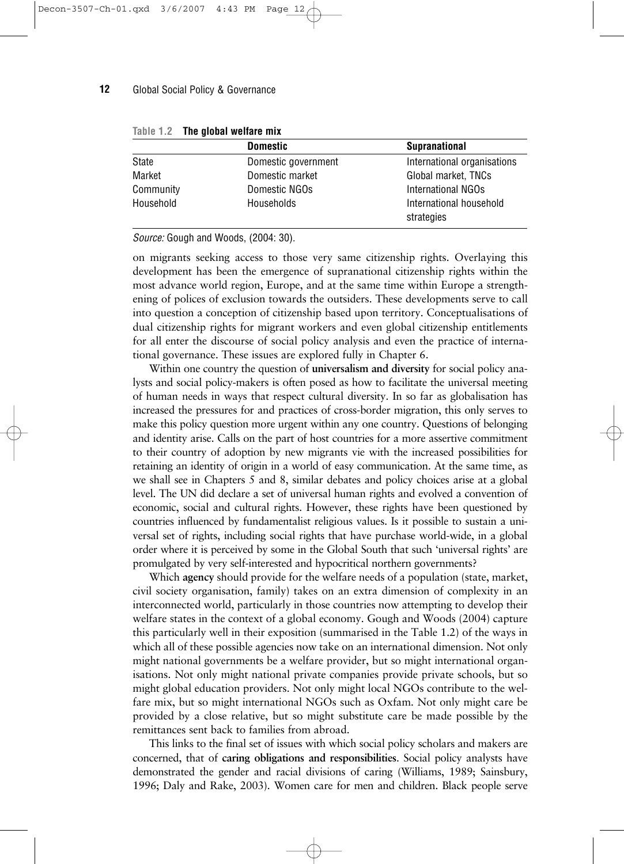|           | <b>Domestic</b>     | <b>Supranational</b>        |
|-----------|---------------------|-----------------------------|
| State     | Domestic government | International organisations |
| Market    | Domestic market     | Global market, TNCs         |
| Community | Domestic NGOs       | <b>International NGOs</b>   |
| Household | Households          | International household     |
|           |                     | strategies                  |

#### **Table 1.2 The global welfare mix**

Source: Gough and Woods, (2004: 30).

on migrants seeking access to those very same citizenship rights. Overlaying this development has been the emergence of supranational citizenship rights within the most advance world region, Europe, and at the same time within Europe a strengthening of polices of exclusion towards the outsiders. These developments serve to call into question a conception of citizenship based upon territory. Conceptualisations of dual citizenship rights for migrant workers and even global citizenship entitlements for all enter the discourse of social policy analysis and even the practice of international governance. These issues are explored fully in Chapter 6.

Within one country the question of **universalism and diversity** for social policy analysts and social policy-makers is often posed as how to facilitate the universal meeting of human needs in ways that respect cultural diversity. In so far as globalisation has increased the pressures for and practices of cross-border migration, this only serves to make this policy question more urgent within any one country. Questions of belonging and identity arise. Calls on the part of host countries for a more assertive commitment to their country of adoption by new migrants vie with the increased possibilities for retaining an identity of origin in a world of easy communication. At the same time, as we shall see in Chapters 5 and 8, similar debates and policy choices arise at a global level. The UN did declare a set of universal human rights and evolved a convention of economic, social and cultural rights. However, these rights have been questioned by countries influenced by fundamentalist religious values. Is it possible to sustain a universal set of rights, including social rights that have purchase world-wide, in a global order where it is perceived by some in the Global South that such 'universal rights' are promulgated by very self-interested and hypocritical northern governments?

Which **agency** should provide for the welfare needs of a population (state, market, civil society organisation, family) takes on an extra dimension of complexity in an interconnected world, particularly in those countries now attempting to develop their welfare states in the context of a global economy. Gough and Woods (2004) capture this particularly well in their exposition (summarised in the Table 1.2) of the ways in which all of these possible agencies now take on an international dimension. Not only might national governments be a welfare provider, but so might international organisations. Not only might national private companies provide private schools, but so might global education providers. Not only might local NGOs contribute to the welfare mix, but so might international NGOs such as Oxfam. Not only might care be provided by a close relative, but so might substitute care be made possible by the remittances sent back to families from abroad.

This links to the final set of issues with which social policy scholars and makers are concerned, that of **caring obligations and responsibilities**. Social policy analysts have demonstrated the gender and racial divisions of caring (Williams, 1989; Sainsbury, 1996; Daly and Rake, 2003). Women care for men and children. Black people serve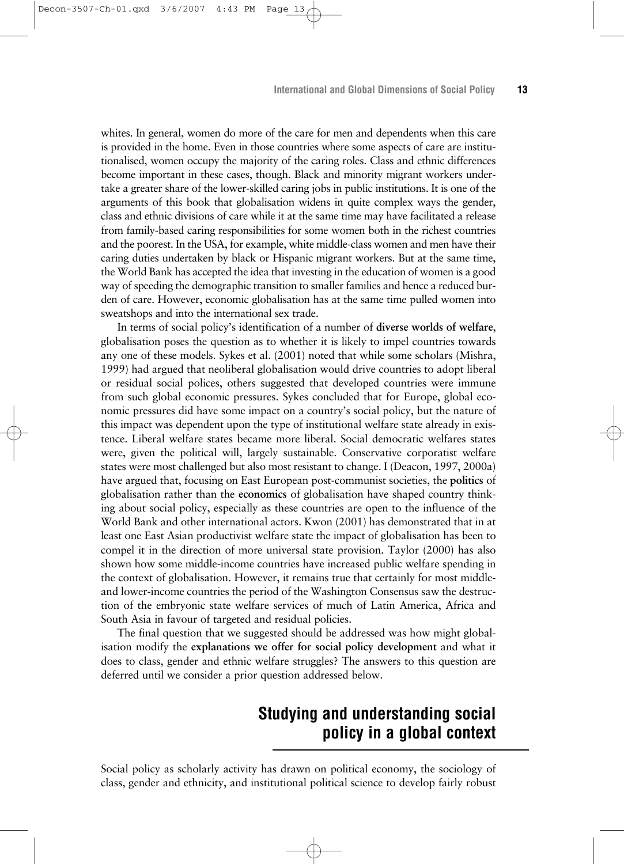whites. In general, women do more of the care for men and dependents when this care is provided in the home. Even in those countries where some aspects of care are institutionalised, women occupy the majority of the caring roles. Class and ethnic differences become important in these cases, though. Black and minority migrant workers undertake a greater share of the lower-skilled caring jobs in public institutions. It is one of the arguments of this book that globalisation widens in quite complex ways the gender, class and ethnic divisions of care while it at the same time may have facilitated a release from family-based caring responsibilities for some women both in the richest countries and the poorest. In the USA, for example, white middle-class women and men have their caring duties undertaken by black or Hispanic migrant workers. But at the same time, the World Bank has accepted the idea that investing in the education of women is a good way of speeding the demographic transition to smaller families and hence a reduced burden of care. However, economic globalisation has at the same time pulled women into sweatshops and into the international sex trade.

In terms of social policy's identification of a number of **diverse worlds of welfare**, globalisation poses the question as to whether it is likely to impel countries towards any one of these models. Sykes et al. (2001) noted that while some scholars (Mishra, 1999) had argued that neoliberal globalisation would drive countries to adopt liberal or residual social polices, others suggested that developed countries were immune from such global economic pressures. Sykes concluded that for Europe, global economic pressures did have some impact on a country's social policy, but the nature of this impact was dependent upon the type of institutional welfare state already in existence. Liberal welfare states became more liberal. Social democratic welfares states were, given the political will, largely sustainable. Conservative corporatist welfare states were most challenged but also most resistant to change. I (Deacon, 1997, 2000a) have argued that, focusing on East European post-communist societies, the **politics** of globalisation rather than the **economics** of globalisation have shaped country thinking about social policy, especially as these countries are open to the influence of the World Bank and other international actors. Kwon (2001) has demonstrated that in at least one East Asian productivist welfare state the impact of globalisation has been to compel it in the direction of more universal state provision. Taylor (2000) has also shown how some middle-income countries have increased public welfare spending in the context of globalisation. However, it remains true that certainly for most middleand lower-income countries the period of the Washington Consensus saw the destruction of the embryonic state welfare services of much of Latin America, Africa and South Asia in favour of targeted and residual policies.

The final question that we suggested should be addressed was how might globalisation modify the **explanations we offer for social policy development** and what it does to class, gender and ethnic welfare struggles? The answers to this question are deferred until we consider a prior question addressed below.

## **Studying and understanding social policy in a global context**

Social policy as scholarly activity has drawn on political economy, the sociology of class, gender and ethnicity, and institutional political science to develop fairly robust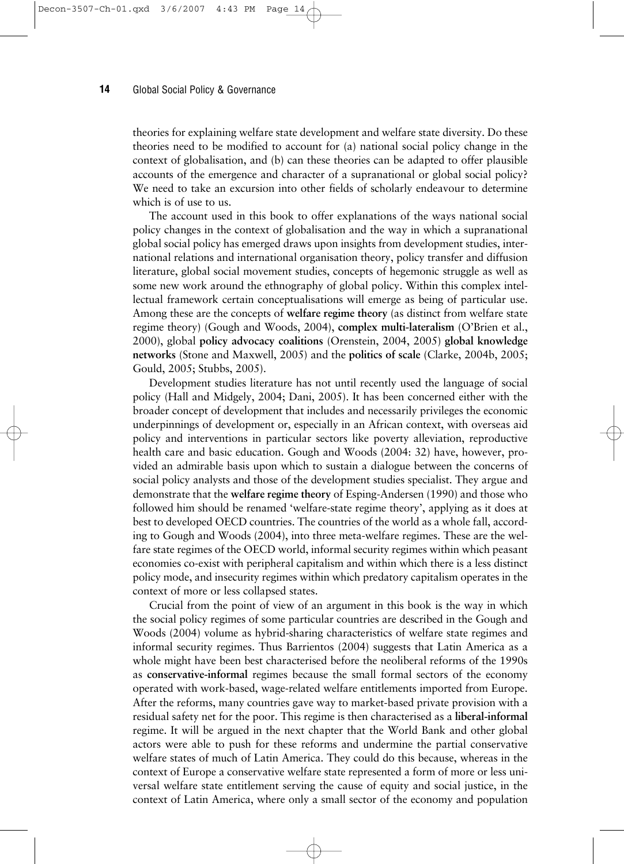theories for explaining welfare state development and welfare state diversity. Do these theories need to be modified to account for (a) national social policy change in the context of globalisation, and (b) can these theories can be adapted to offer plausible accounts of the emergence and character of a supranational or global social policy? We need to take an excursion into other fields of scholarly endeavour to determine which is of use to us.

The account used in this book to offer explanations of the ways national social policy changes in the context of globalisation and the way in which a supranational global social policy has emerged draws upon insights from development studies, international relations and international organisation theory, policy transfer and diffusion literature, global social movement studies, concepts of hegemonic struggle as well as some new work around the ethnography of global policy. Within this complex intellectual framework certain conceptualisations will emerge as being of particular use. Among these are the concepts of **welfare regime theory** (as distinct from welfare state regime theory) (Gough and Woods, 2004), **complex multi-lateralism** (O'Brien et al., 2000), global **policy advocacy coalitions** (Orenstein, 2004, 2005) **global knowledge networks** (Stone and Maxwell, 2005) and the **politics of scale** (Clarke, 2004b, 2005; Gould, 2005; Stubbs, 2005).

Development studies literature has not until recently used the language of social policy (Hall and Midgely, 2004; Dani, 2005). It has been concerned either with the broader concept of development that includes and necessarily privileges the economic underpinnings of development or, especially in an African context, with overseas aid policy and interventions in particular sectors like poverty alleviation, reproductive health care and basic education. Gough and Woods (2004: 32) have, however, provided an admirable basis upon which to sustain a dialogue between the concerns of social policy analysts and those of the development studies specialist. They argue and demonstrate that the **welfare regime theory** of Esping-Andersen (1990) and those who followed him should be renamed 'welfare-state regime theory', applying as it does at best to developed OECD countries. The countries of the world as a whole fall, according to Gough and Woods (2004), into three meta-welfare regimes. These are the welfare state regimes of the OECD world, informal security regimes within which peasant economies co-exist with peripheral capitalism and within which there is a less distinct policy mode, and insecurity regimes within which predatory capitalism operates in the context of more or less collapsed states.

Crucial from the point of view of an argument in this book is the way in which the social policy regimes of some particular countries are described in the Gough and Woods (2004) volume as hybrid-sharing characteristics of welfare state regimes and informal security regimes. Thus Barrientos (2004) suggests that Latin America as a whole might have been best characterised before the neoliberal reforms of the 1990s as **conservative-informal** regimes because the small formal sectors of the economy operated with work-based, wage-related welfare entitlements imported from Europe. After the reforms, many countries gave way to market-based private provision with a residual safety net for the poor. This regime is then characterised as a **liberal-informal** regime. It will be argued in the next chapter that the World Bank and other global actors were able to push for these reforms and undermine the partial conservative welfare states of much of Latin America. They could do this because, whereas in the context of Europe a conservative welfare state represented a form of more or less universal welfare state entitlement serving the cause of equity and social justice, in the context of Latin America, where only a small sector of the economy and population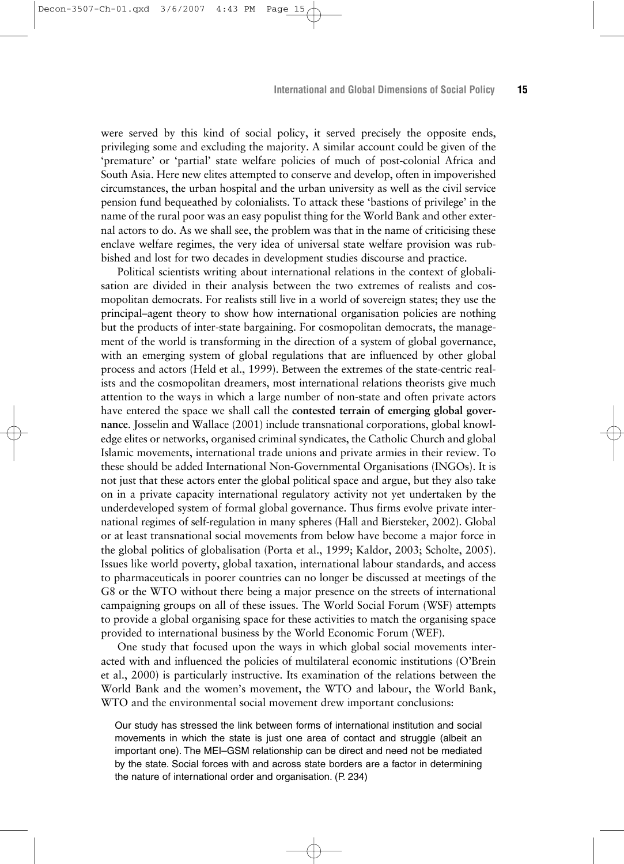were served by this kind of social policy, it served precisely the opposite ends, privileging some and excluding the majority. A similar account could be given of the 'premature' or 'partial' state welfare policies of much of post-colonial Africa and South Asia. Here new elites attempted to conserve and develop, often in impoverished circumstances, the urban hospital and the urban university as well as the civil service pension fund bequeathed by colonialists. To attack these 'bastions of privilege' in the name of the rural poor was an easy populist thing for the World Bank and other external actors to do. As we shall see, the problem was that in the name of criticising these enclave welfare regimes, the very idea of universal state welfare provision was rubbished and lost for two decades in development studies discourse and practice.

Political scientists writing about international relations in the context of globalisation are divided in their analysis between the two extremes of realists and cosmopolitan democrats. For realists still live in a world of sovereign states; they use the principal–agent theory to show how international organisation policies are nothing but the products of inter-state bargaining. For cosmopolitan democrats, the management of the world is transforming in the direction of a system of global governance, with an emerging system of global regulations that are influenced by other global process and actors (Held et al., 1999). Between the extremes of the state-centric realists and the cosmopolitan dreamers, most international relations theorists give much attention to the ways in which a large number of non-state and often private actors have entered the space we shall call the **contested terrain of emerging global governance**. Josselin and Wallace (2001) include transnational corporations, global knowledge elites or networks, organised criminal syndicates, the Catholic Church and global Islamic movements, international trade unions and private armies in their review. To these should be added International Non-Governmental Organisations (INGOs). It is not just that these actors enter the global political space and argue, but they also take on in a private capacity international regulatory activity not yet undertaken by the underdeveloped system of formal global governance. Thus firms evolve private international regimes of self-regulation in many spheres (Hall and Biersteker, 2002). Global or at least transnational social movements from below have become a major force in the global politics of globalisation (Porta et al., 1999; Kaldor, 2003; Scholte, 2005). Issues like world poverty, global taxation, international labour standards, and access to pharmaceuticals in poorer countries can no longer be discussed at meetings of the G8 or the WTO without there being a major presence on the streets of international campaigning groups on all of these issues. The World Social Forum (WSF) attempts to provide a global organising space for these activities to match the organising space provided to international business by the World Economic Forum (WEF).

One study that focused upon the ways in which global social movements interacted with and influenced the policies of multilateral economic institutions (O'Brein et al., 2000) is particularly instructive. Its examination of the relations between the World Bank and the women's movement, the WTO and labour, the World Bank, WTO and the environmental social movement drew important conclusions:

Our study has stressed the link between forms of international institution and social movements in which the state is just one area of contact and struggle (albeit an important one). The MEI–GSM relationship can be direct and need not be mediated by the state. Social forces with and across state borders are a factor in determining the nature of international order and organisation. (P. 234)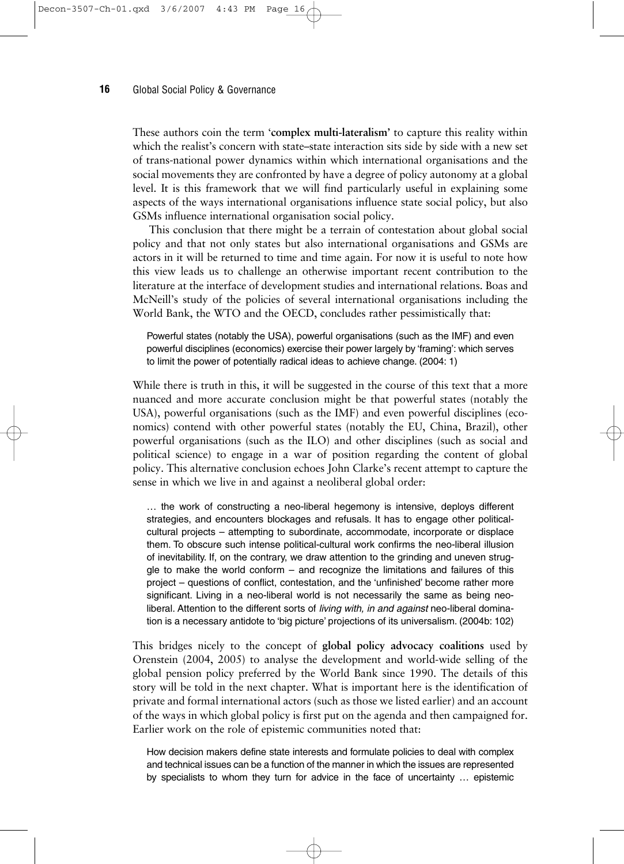These authors coin the term '**complex multi-lateralism'** to capture this reality within which the realist's concern with state–state interaction sits side by side with a new set of trans-national power dynamics within which international organisations and the social movements they are confronted by have a degree of policy autonomy at a global level. It is this framework that we will find particularly useful in explaining some aspects of the ways international organisations influence state social policy, but also GSMs influence international organisation social policy.

This conclusion that there might be a terrain of contestation about global social policy and that not only states but also international organisations and GSMs are actors in it will be returned to time and time again. For now it is useful to note how this view leads us to challenge an otherwise important recent contribution to the literature at the interface of development studies and international relations. Boas and McNeill's study of the policies of several international organisations including the World Bank, the WTO and the OECD, concludes rather pessimistically that:

Powerful states (notably the USA), powerful organisations (such as the IMF) and even powerful disciplines (economics) exercise their power largely by 'framing': which serves to limit the power of potentially radical ideas to achieve change. (2004: 1)

While there is truth in this, it will be suggested in the course of this text that a more nuanced and more accurate conclusion might be that powerful states (notably the USA), powerful organisations (such as the IMF) and even powerful disciplines (economics) contend with other powerful states (notably the EU, China, Brazil), other powerful organisations (such as the ILO) and other disciplines (such as social and political science) to engage in a war of position regarding the content of global policy. This alternative conclusion echoes John Clarke's recent attempt to capture the sense in which we live in and against a neoliberal global order:

… the work of constructing a neo-liberal hegemony is intensive, deploys different strategies, and encounters blockages and refusals. It has to engage other politicalcultural projects – attempting to subordinate, accommodate, incorporate or displace them. To obscure such intense political-cultural work confirms the neo-liberal illusion of inevitability. If, on the contrary, we draw attention to the grinding and uneven struggle to make the world conform – and recognize the limitations and failures of this project – questions of conflict, contestation, and the 'unfinished' become rather more significant. Living in a neo-liberal world is not necessarily the same as being neoliberal. Attention to the different sorts of living with, in and against neo-liberal domination is a necessary antidote to 'big picture' projections of its universalism. (2004b: 102)

This bridges nicely to the concept of **global policy advocacy coalitions** used by Orenstein (2004, 2005) to analyse the development and world-wide selling of the global pension policy preferred by the World Bank since 1990. The details of this story will be told in the next chapter. What is important here is the identification of private and formal international actors (such as those we listed earlier) and an account of the ways in which global policy is first put on the agenda and then campaigned for. Earlier work on the role of epistemic communities noted that:

How decision makers define state interests and formulate policies to deal with complex and technical issues can be a function of the manner in which the issues are represented by specialists to whom they turn for advice in the face of uncertainty … epistemic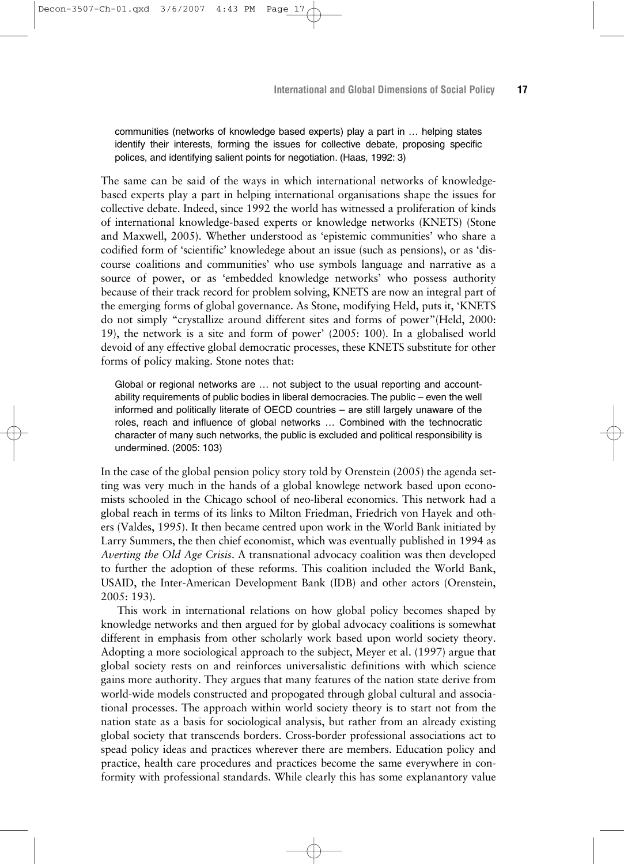communities (networks of knowledge based experts) play a part in … helping states identify their interests, forming the issues for collective debate, proposing specific polices, and identifying salient points for negotiation. (Haas, 1992: 3)

The same can be said of the ways in which international networks of knowledgebased experts play a part in helping international organisations shape the issues for collective debate. Indeed, since 1992 the world has witnessed a proliferation of kinds of international knowledge-based experts or knowledge networks (KNETS) (Stone and Maxwell, 2005). Whether understood as 'epistemic communities' who share a codified form of 'scientific' knowledege about an issue (such as pensions), or as 'discourse coalitions and communities' who use symbols language and narrative as a source of power, or as 'embedded knowledge networks' who possess authority because of their track record for problem solving, KNETS are now an integral part of the emerging forms of global governance. As Stone, modifying Held, puts it, 'KNETS do not simply "crystallize around different sites and forms of power"(Held, 2000: 19), the network is a site and form of power' (2005: 100). In a globalised world devoid of any effective global democratic processes, these KNETS substitute for other forms of policy making. Stone notes that:

Global or regional networks are … not subject to the usual reporting and accountability requirements of public bodies in liberal democracies.The public – even the well informed and politically literate of OECD countries – are still largely unaware of the roles, reach and influence of global networks … Combined with the technocratic character of many such networks, the public is excluded and political responsibility is undermined. (2005: 103)

In the case of the global pension policy story told by Orenstein (2005) the agenda setting was very much in the hands of a global knowlege network based upon economists schooled in the Chicago school of neo-liberal economics. This network had a global reach in terms of its links to Milton Friedman, Friedrich von Hayek and others (Valdes, 1995). It then became centred upon work in the World Bank initiated by Larry Summers, the then chief economist, which was eventually published in 1994 as *Averting the Old Age Crisis*. A transnational advocacy coalition was then developed to further the adoption of these reforms. This coalition included the World Bank, USAID, the Inter-American Development Bank (IDB) and other actors (Orenstein, 2005: 193).

This work in international relations on how global policy becomes shaped by knowledge networks and then argued for by global advocacy coalitions is somewhat different in emphasis from other scholarly work based upon world society theory. Adopting a more sociological approach to the subject, Meyer et al. (1997) argue that global society rests on and reinforces universalistic definitions with which science gains more authority. They argues that many features of the nation state derive from world-wide models constructed and propogated through global cultural and associational processes. The approach within world society theory is to start not from the nation state as a basis for sociological analysis, but rather from an already existing global society that transcends borders. Cross-border professional associations act to spead policy ideas and practices wherever there are members. Education policy and practice, health care procedures and practices become the same everywhere in conformity with professional standards. While clearly this has some explanantory value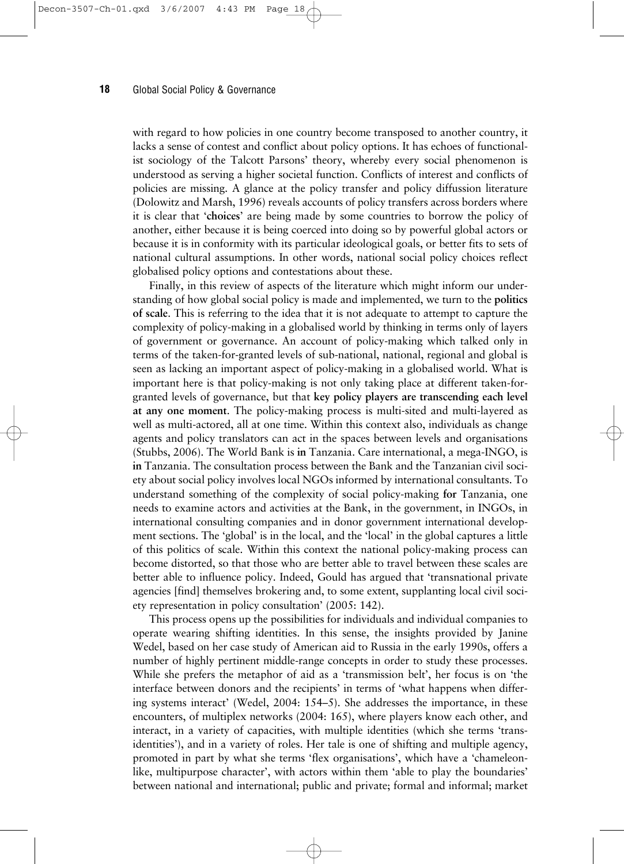with regard to how policies in one country become transposed to another country, it lacks a sense of contest and conflict about policy options. It has echoes of functionalist sociology of the Talcott Parsons' theory, whereby every social phenomenon is understood as serving a higher societal function. Conflicts of interest and conflicts of policies are missing. A glance at the policy transfer and policy diffussion literature (Dolowitz and Marsh, 1996) reveals accounts of policy transfers across borders where it is clear that '**choices**' are being made by some countries to borrow the policy of another, either because it is being coerced into doing so by powerful global actors or because it is in conformity with its particular ideological goals, or better fits to sets of national cultural assumptions. In other words, national social policy choices reflect globalised policy options and contestations about these.

Finally, in this review of aspects of the literature which might inform our understanding of how global social policy is made and implemented, we turn to the **politics of scale**. This is referring to the idea that it is not adequate to attempt to capture the complexity of policy-making in a globalised world by thinking in terms only of layers of government or governance. An account of policy-making which talked only in terms of the taken-for-granted levels of sub-national, national, regional and global is seen as lacking an important aspect of policy-making in a globalised world. What is important here is that policy-making is not only taking place at different taken-forgranted levels of governance, but that **key policy players are transcending each level at any one moment**. The policy-making process is multi-sited and multi-layered as well as multi-actored, all at one time. Within this context also, individuals as change agents and policy translators can act in the spaces between levels and organisations (Stubbs, 2006). The World Bank is **in** Tanzania. Care international, a mega-INGO, is **in** Tanzania. The consultation process between the Bank and the Tanzanian civil society about social policy involves local NGOs informed by international consultants. To understand something of the complexity of social policy-making **for** Tanzania, one needs to examine actors and activities at the Bank, in the government, in INGOs, in international consulting companies and in donor government international development sections. The 'global' is in the local, and the 'local' in the global captures a little of this politics of scale. Within this context the national policy-making process can become distorted, so that those who are better able to travel between these scales are better able to influence policy. Indeed, Gould has argued that 'transnational private agencies [find] themselves brokering and, to some extent, supplanting local civil society representation in policy consultation' (2005: 142).

This process opens up the possibilities for individuals and individual companies to operate wearing shifting identities. In this sense, the insights provided by Janine Wedel, based on her case study of American aid to Russia in the early 1990s, offers a number of highly pertinent middle-range concepts in order to study these processes. While she prefers the metaphor of aid as a 'transmission belt', her focus is on 'the interface between donors and the recipients' in terms of 'what happens when differing systems interact' (Wedel, 2004: 154–5). She addresses the importance, in these encounters, of multiplex networks (2004: 165), where players know each other, and interact, in a variety of capacities, with multiple identities (which she terms 'transidentities'), and in a variety of roles. Her tale is one of shifting and multiple agency, promoted in part by what she terms 'flex organisations', which have a 'chameleonlike, multipurpose character', with actors within them 'able to play the boundaries' between national and international; public and private; formal and informal; market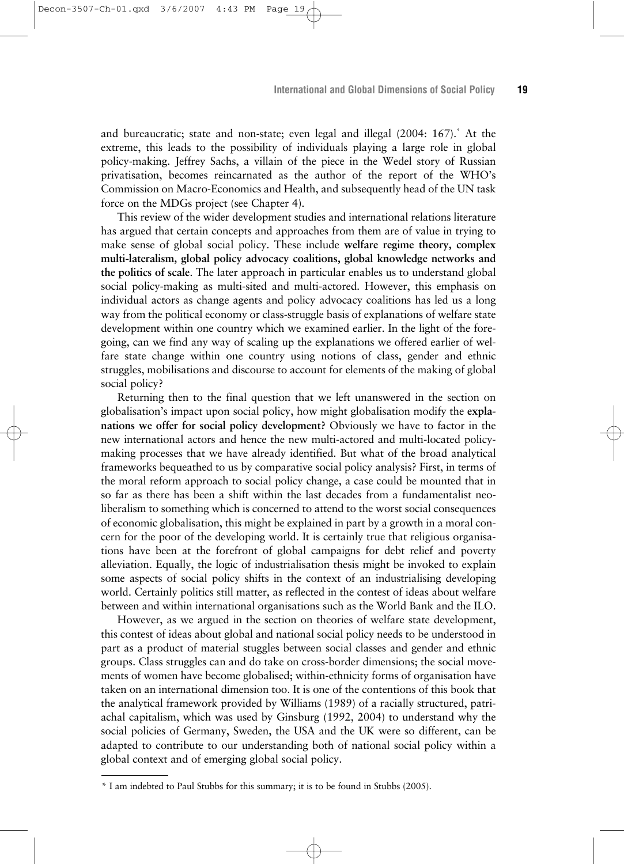and bureaucratic; state and non-state; even legal and illegal (2004: 167).\* At the extreme, this leads to the possibility of individuals playing a large role in global policy-making. Jeffrey Sachs, a villain of the piece in the Wedel story of Russian privatisation, becomes reincarnated as the author of the report of the WHO's Commission on Macro-Economics and Health, and subsequently head of the UN task force on the MDGs project (see Chapter 4).

This review of the wider development studies and international relations literature has argued that certain concepts and approaches from them are of value in trying to make sense of global social policy. These include **welfare regime theory, complex multi-lateralism, global policy advocacy coalitions, global knowledge networks and the politics of scale**. The later approach in particular enables us to understand global social policy-making as multi-sited and multi-actored. However, this emphasis on individual actors as change agents and policy advocacy coalitions has led us a long way from the political economy or class-struggle basis of explanations of welfare state development within one country which we examined earlier. In the light of the foregoing, can we find any way of scaling up the explanations we offered earlier of welfare state change within one country using notions of class, gender and ethnic struggles, mobilisations and discourse to account for elements of the making of global social policy?

Returning then to the final question that we left unanswered in the section on globalisation's impact upon social policy, how might globalisation modify the **explanations we offer for social policy development?** Obviously we have to factor in the new international actors and hence the new multi-actored and multi-located policymaking processes that we have already identified. But what of the broad analytical frameworks bequeathed to us by comparative social policy analysis? First, in terms of the moral reform approach to social policy change, a case could be mounted that in so far as there has been a shift within the last decades from a fundamentalist neoliberalism to something which is concerned to attend to the worst social consequences of economic globalisation, this might be explained in part by a growth in a moral concern for the poor of the developing world. It is certainly true that religious organisations have been at the forefront of global campaigns for debt relief and poverty alleviation. Equally, the logic of industrialisation thesis might be invoked to explain some aspects of social policy shifts in the context of an industrialising developing world. Certainly politics still matter, as reflected in the contest of ideas about welfare between and within international organisations such as the World Bank and the ILO.

However, as we argued in the section on theories of welfare state development, this contest of ideas about global and national social policy needs to be understood in part as a product of material stuggles between social classes and gender and ethnic groups. Class struggles can and do take on cross-border dimensions; the social movements of women have become globalised; within-ethnicity forms of organisation have taken on an international dimension too. It is one of the contentions of this book that the analytical framework provided by Williams (1989) of a racially structured, patriachal capitalism, which was used by Ginsburg (1992, 2004) to understand why the social policies of Germany, Sweden, the USA and the UK were so different, can be adapted to contribute to our understanding both of national social policy within a global context and of emerging global social policy.

<sup>\*</sup> I am indebted to Paul Stubbs for this summary; it is to be found in Stubbs (2005).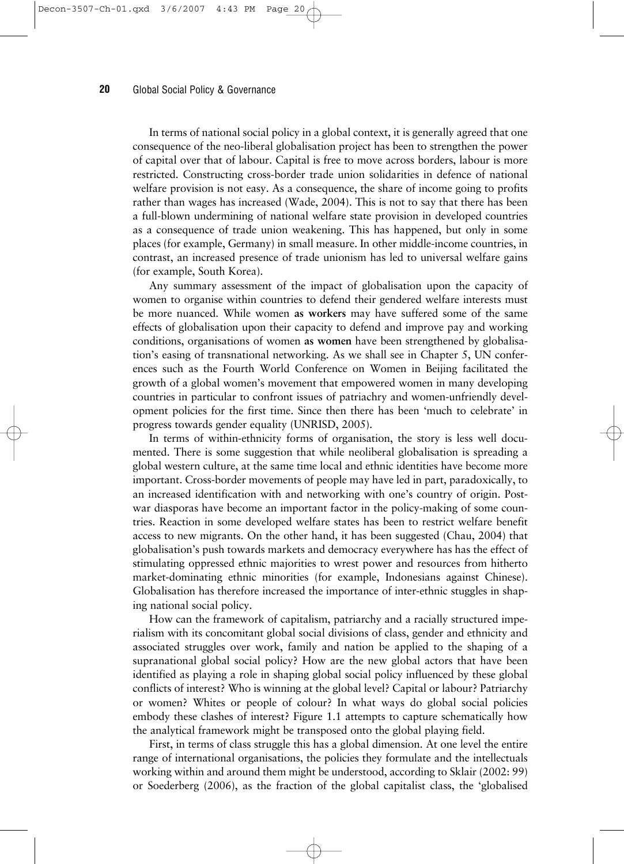In terms of national social policy in a global context, it is generally agreed that one consequence of the neo-liberal globalisation project has been to strengthen the power of capital over that of labour. Capital is free to move across borders, labour is more restricted. Constructing cross-border trade union solidarities in defence of national welfare provision is not easy. As a consequence, the share of income going to profits rather than wages has increased (Wade, 2004). This is not to say that there has been a full-blown undermining of national welfare state provision in developed countries as a consequence of trade union weakening. This has happened, but only in some places (for example, Germany) in small measure. In other middle-income countries, in contrast, an increased presence of trade unionism has led to universal welfare gains (for example, South Korea).

Any summary assessment of the impact of globalisation upon the capacity of women to organise within countries to defend their gendered welfare interests must be more nuanced. While women **as workers** may have suffered some of the same effects of globalisation upon their capacity to defend and improve pay and working conditions, organisations of women **as women** have been strengthened by globalisation's easing of transnational networking. As we shall see in Chapter 5, UN conferences such as the Fourth World Conference on Women in Beijing facilitated the growth of a global women's movement that empowered women in many developing countries in particular to confront issues of patriachry and women-unfriendly development policies for the first time. Since then there has been 'much to celebrate' in progress towards gender equality (UNRISD, 2005).

In terms of within-ethnicity forms of organisation, the story is less well documented. There is some suggestion that while neoliberal globalisation is spreading a global western culture, at the same time local and ethnic identities have become more important. Cross-border movements of people may have led in part, paradoxically, to an increased identification with and networking with one's country of origin. Postwar diasporas have become an important factor in the policy-making of some countries. Reaction in some developed welfare states has been to restrict welfare benefit access to new migrants. On the other hand, it has been suggested (Chau, 2004) that globalisation's push towards markets and democracy everywhere has has the effect of stimulating oppressed ethnic majorities to wrest power and resources from hitherto market-dominating ethnic minorities (for example, Indonesians against Chinese). Globalisation has therefore increased the importance of inter-ethnic stuggles in shaping national social policy.

How can the framework of capitalism, patriarchy and a racially structured imperialism with its concomitant global social divisions of class, gender and ethnicity and associated struggles over work, family and nation be applied to the shaping of a supranational global social policy? How are the new global actors that have been identified as playing a role in shaping global social policy influenced by these global conflicts of interest? Who is winning at the global level? Capital or labour? Patriarchy or women? Whites or people of colour? In what ways do global social policies embody these clashes of interest? Figure 1.1 attempts to capture schematically how the analytical framework might be transposed onto the global playing field.

First, in terms of class struggle this has a global dimension. At one level the entire range of international organisations, the policies they formulate and the intellectuals working within and around them might be understood, according to Sklair (2002: 99) or Soederberg (2006), as the fraction of the global capitalist class, the 'globalised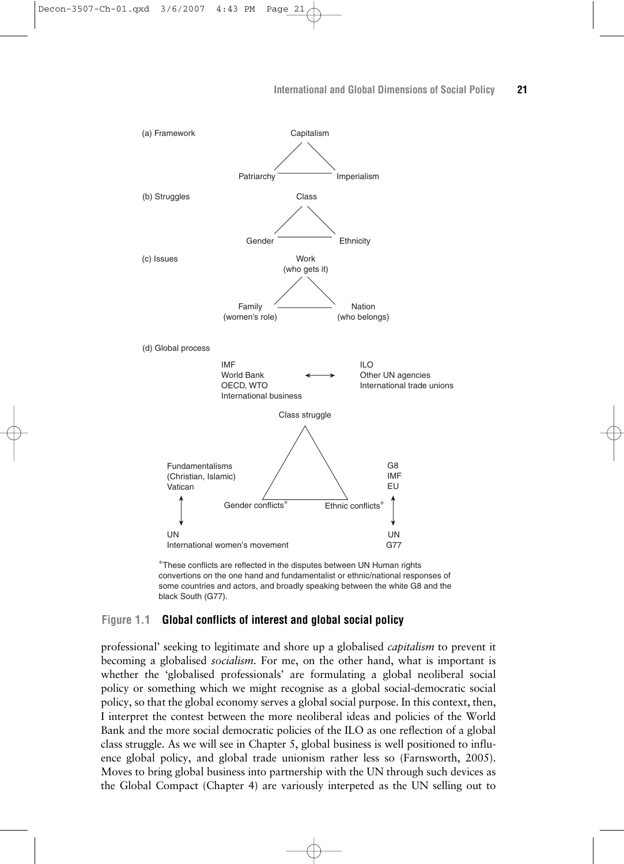#### **International and Global Dimensions of Social Policy 21**



∗These conflicts are reflected in the disputes between UN Human rights convertions on the one hand and fundamentalist or ethnic/national responses of some countries and actors, and broadly speaking between the white G8 and the black South (G77).

#### **Figure 1.1 Global conflicts of interest and global social policy**

professional' seeking to legitimate and shore up a globalised *capitalism* to prevent it becoming a globalised *socialism.* For me, on the other hand, what is important is whether the 'globalised professionals' are formulating a global neoliberal social policy or something which we might recognise as a global social-democratic social policy, so that the global economy serves a global social purpose. In this context, then, I interpret the contest between the more neoliberal ideas and policies of the World Bank and the more social democratic policies of the ILO as one reflection of a global class struggle. As we will see in Chapter 5, global business is well positioned to influence global policy, and global trade unionism rather less so (Farnsworth, 2005). Moves to bring global business into partnership with the UN through such devices as the Global Compact (Chapter 4) are variously interpeted as the UN selling out to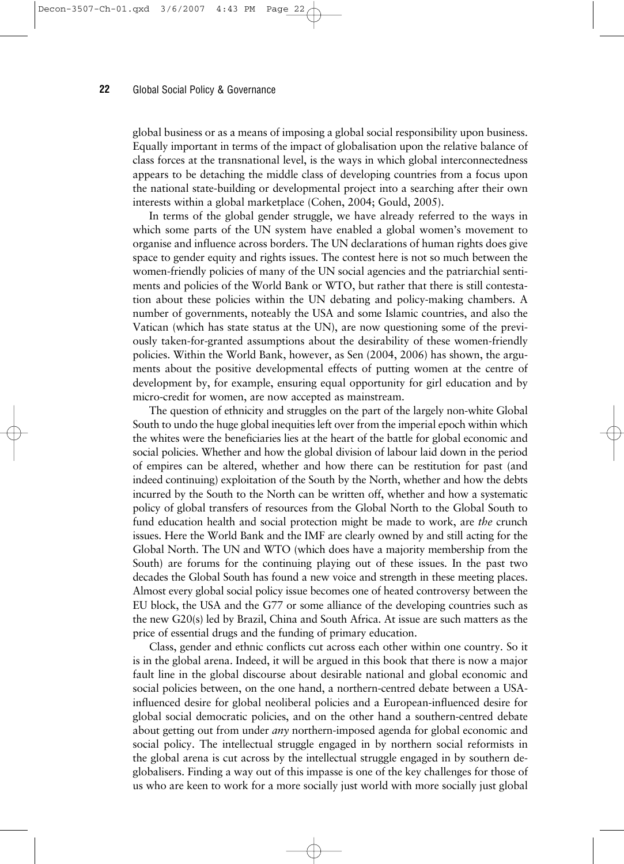global business or as a means of imposing a global social responsibility upon business. Equally important in terms of the impact of globalisation upon the relative balance of class forces at the transnational level, is the ways in which global interconnectedness appears to be detaching the middle class of developing countries from a focus upon the national state-building or developmental project into a searching after their own interests within a global marketplace (Cohen, 2004; Gould, 2005).

In terms of the global gender struggle, we have already referred to the ways in which some parts of the UN system have enabled a global women's movement to organise and influence across borders. The UN declarations of human rights does give space to gender equity and rights issues. The contest here is not so much between the women-friendly policies of many of the UN social agencies and the patriarchial sentiments and policies of the World Bank or WTO, but rather that there is still contestation about these policies within the UN debating and policy-making chambers. A number of governments, noteably the USA and some Islamic countries, and also the Vatican (which has state status at the UN), are now questioning some of the previously taken-for-granted assumptions about the desirability of these women-friendly policies. Within the World Bank, however, as Sen (2004, 2006) has shown, the arguments about the positive developmental effects of putting women at the centre of development by, for example, ensuring equal opportunity for girl education and by micro-credit for women, are now accepted as mainstream.

The question of ethnicity and struggles on the part of the largely non-white Global South to undo the huge global inequities left over from the imperial epoch within which the whites were the beneficiaries lies at the heart of the battle for global economic and social policies. Whether and how the global division of labour laid down in the period of empires can be altered, whether and how there can be restitution for past (and indeed continuing) exploitation of the South by the North, whether and how the debts incurred by the South to the North can be written off, whether and how a systematic policy of global transfers of resources from the Global North to the Global South to fund education health and social protection might be made to work, are *the* crunch issues. Here the World Bank and the IMF are clearly owned by and still acting for the Global North. The UN and WTO (which does have a majority membership from the South) are forums for the continuing playing out of these issues. In the past two decades the Global South has found a new voice and strength in these meeting places. Almost every global social policy issue becomes one of heated controversy between the EU block, the USA and the G77 or some alliance of the developing countries such as the new G20(s) led by Brazil, China and South Africa. At issue are such matters as the price of essential drugs and the funding of primary education.

Class, gender and ethnic conflicts cut across each other within one country. So it is in the global arena. Indeed, it will be argued in this book that there is now a major fault line in the global discourse about desirable national and global economic and social policies between, on the one hand, a northern-centred debate between a USAinfluenced desire for global neoliberal policies and a European-influenced desire for global social democratic policies, and on the other hand a southern-centred debate about getting out from under *any* northern-imposed agenda for global economic and social policy. The intellectual struggle engaged in by northern social reformists in the global arena is cut across by the intellectual struggle engaged in by southern deglobalisers. Finding a way out of this impasse is one of the key challenges for those of us who are keen to work for a more socially just world with more socially just global